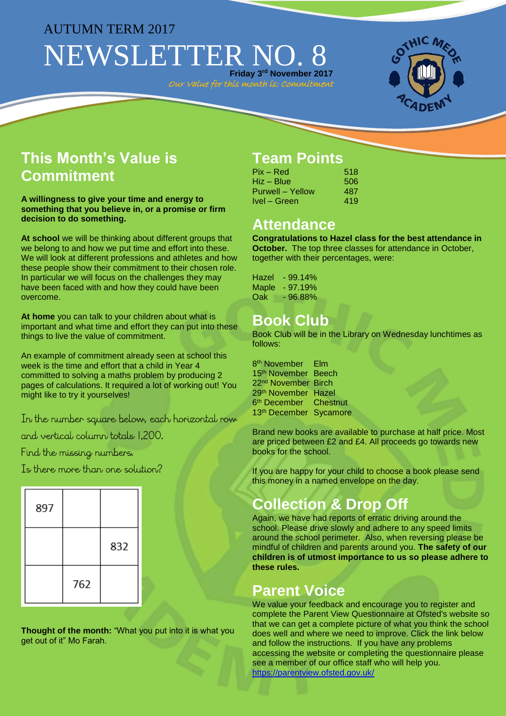### AUTUMN TERM 2017

# NEWSLETTER NO. **Friday 3 rd November 2017**

Our Value for this month is: Commitment



## **This Month's Value is Commitment**

**A willingness to give your time and energy to something that you believe in, or a promise or firm decision to do something.**

**At school** we will be thinking about different groups that we belong to and how we put time and effort into these. We will look at different professions and athletes and how these people show their commitment to their chosen role. In particular we will focus on the challenges they may have been faced with and how they could have been overcome.

**At home** you can talk to your children about what is important and what time and effort they can put into these things to live the value of commitment.

An example of commitment already seen at school this week is the time and effort that a child in Year 4 committed to solving a maths problem by producing 2 pages of calculations. It required a lot of working out! You might like to try it yourselves!

In the number square below, each horizontal row

and vertical column totals 1,200.

Find the missing numbers.

Is there more than one solution?

| 897 |     |     |
|-----|-----|-----|
|     |     | 832 |
|     | 762 |     |

**Thought of the month:** "What you put into it is what you get out of it" Mo Farah.

## **Team Points**

| Pix – Red        | 518 |
|------------------|-----|
| Hiz – Blue       | 506 |
| Purwell – Yellow | 487 |
| Ivel – Green     | 419 |

#### **Attendance**

**Congratulations to Hazel class for the best attendance in October.** The top three classes for attendance in October. together with their percentages, were:

Hazel - 99.14% Maple - 97.19% Oak - 96.88%

## **Book Club**

Book Club will be in the Library on Wednesday lunchtimes as follows:

8 th November Elm 15<sup>th</sup> November Beech 22<sup>nd</sup> November Birch 29th November Hazel 6<sup>th</sup> December Chestnut 13th December Sycamore

Brand new books are available to purchase at half price. Most are priced between £2 and £4. All proceeds go towards new books for the school.

If you are happy for your child to choose a book please send this money in a named envelope on the day.

### **Collection & Drop Off**

Again, we have had reports of erratic driving around the school. Please drive slowly and adhere to any speed limits around the school perimeter. Also, when reversing please be mindful of children and parents around you. **The safety of our children is of utmost importance to us so please adhere to these rules.** 

### **Parent Voice**

We value your feedback and encourage you to register and complete the Parent View Questionnaire at Ofsted's website so that we can get a complete picture of what you think the school does well and where we need to improve. Click the link below and follow the instructions. If you have any problems accessing the website or completing the questionnaire please see a member of our office staff who will help you. <https://parentview.ofsted.gov.uk/>